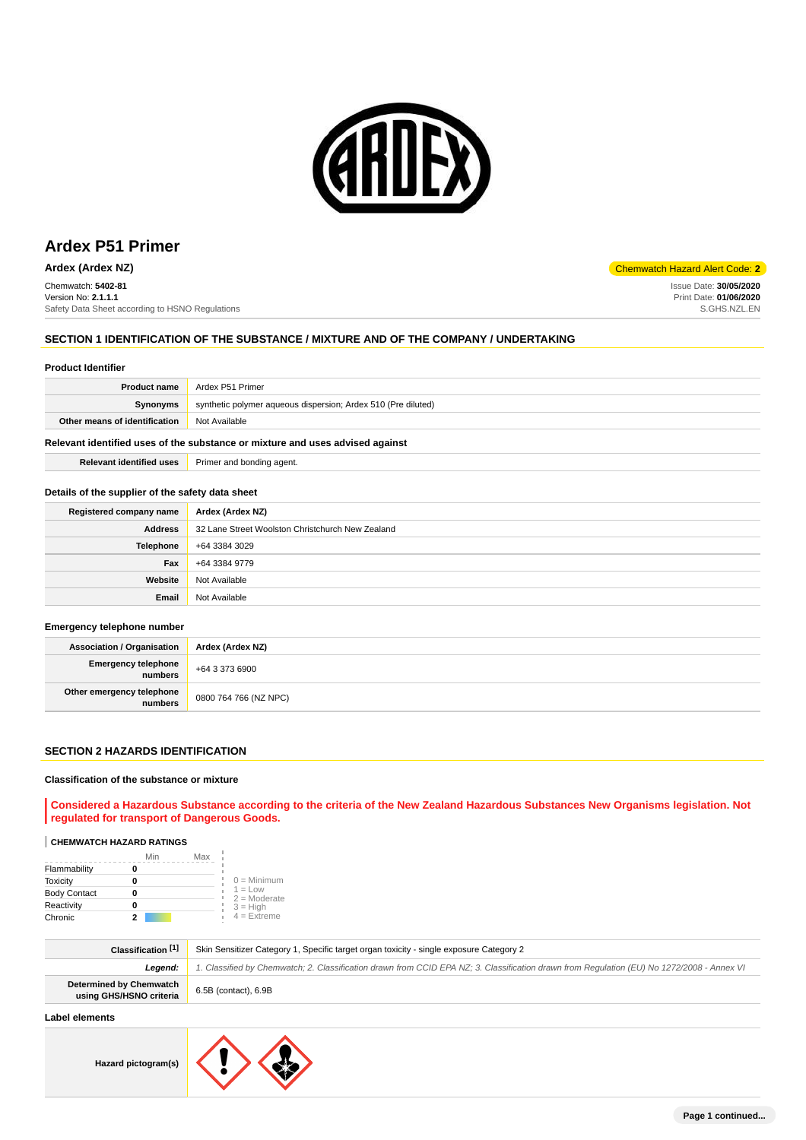

Chemwatch: **5402-81** Version No: **2.1.1.1** Safety Data Sheet according to HSNO Regulations

# **SECTION 1 IDENTIFICATION OF THE SUBSTANCE / MIXTURE AND OF THE COMPANY / UNDERTAKING**

#### **Product Identifier**

| <b>Product name</b>           | Ardex P51 Primer                                              |
|-------------------------------|---------------------------------------------------------------|
| <b>Synonyms</b>               | synthetic polymer aqueous dispersion; Ardex 510 (Pre diluted) |
| Other means of identification | Not Available                                                 |

# **Relevant identified uses of the substance or mixture and uses advised against**

| <b>Relevant identified uses</b> | Primer and bonding agent. |
|---------------------------------|---------------------------|
|---------------------------------|---------------------------|

# **Details of the supplier of the safety data sheet**

| Registered company name | Ardex (Ardex NZ)                                 |
|-------------------------|--------------------------------------------------|
| <b>Address</b>          | 32 Lane Street Woolston Christchurch New Zealand |
| <b>Telephone</b>        | +64 3384 3029                                    |
| Fax                     | +64 3384 9779                                    |
| Website                 | Not Available                                    |
| Email                   | Not Available                                    |

#### **Emergency telephone number**

| Association / Organisation        | Ardex (Ardex NZ)      |
|-----------------------------------|-----------------------|
| Emergency telephone $+6433736900$ |                       |
| Other emergency telephone         | 0800 764 766 (NZ NPC) |

#### **SECTION 2 HAZARDS IDENTIFICATION**

### **Classification of the substance or mixture**

**Considered a Hazardous Substance according to the criteria of the New Zealand Hazardous Substances New Organisms legislation. Not regulated for transport of Dangerous Goods.**

# **CHEMWATCH HAZARD RATINGS**

|                     | Min | Max |                             |
|---------------------|-----|-----|-----------------------------|
| Flammability        |     |     |                             |
| <b>Toxicity</b>     |     |     | $0 =$ Minimum               |
| <b>Body Contact</b> | 0   |     | $1 = Low$<br>$2 =$ Moderate |
| Reactivity          | 0   |     | $3 = High$                  |
| Chronic             |     |     | $4 =$ Extreme               |

| Classification [1]                                        | Skin Sensitizer Category 1, Specific target organ toxicity - single exposure Category 2                                                    |
|-----------------------------------------------------------|--------------------------------------------------------------------------------------------------------------------------------------------|
| Leaend:                                                   | 1. Classified by Chemwatch; 2. Classification drawn from CCID EPA NZ; 3. Classification drawn from Requlation (EU) No 1272/2008 - Annex VI |
| <b>Determined by Chemwatch</b><br>using GHS/HSNO criteria | 6.5B (contact), 6.9B                                                                                                                       |

# **Label elements**

**Hazard pictogram(s)**



**Ardex (Ardex NZ) Chemwatch Hazard Alert Code: 2** 

Issue Date: **30/05/2020** Print Date: **01/06/2020** S.GHS.NZL.EN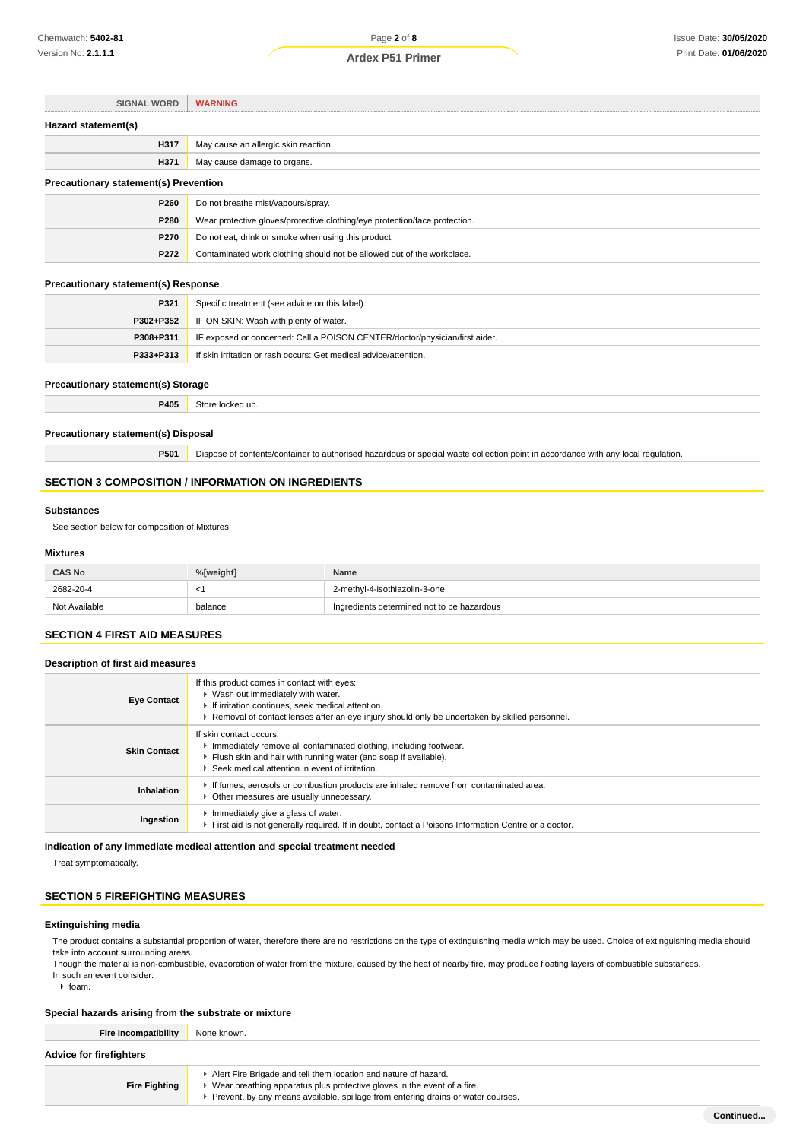| <b>SIGNAL WORD</b>                           | <b>WARNING</b>                                                             |  |
|----------------------------------------------|----------------------------------------------------------------------------|--|
| Hazard statement(s)                          |                                                                            |  |
| H317                                         | May cause an allergic skin reaction.                                       |  |
| H371                                         | May cause damage to organs.                                                |  |
| <b>Precautionary statement(s) Prevention</b> |                                                                            |  |
| P260                                         | Do not breathe mist/vapours/spray.                                         |  |
| P280                                         | Wear protective gloves/protective clothing/eye protection/face protection. |  |
| P270                                         | Do not eat, drink or smoke when using this product.                        |  |
| P272                                         | Contaminated work clothing should not be allowed out of the workplace.     |  |

#### **Precautionary statement(s) Response**

| P321      | Specific treatment (see advice on this label).                              |
|-----------|-----------------------------------------------------------------------------|
|           | <b>P302+P352</b> IF ON SKIN: Wash with plenty of water.                     |
| P308+P311 | IF exposed or concerned: Call a POISON CENTER/doctor/physician/first aider. |
| P333+P313 | If skin irritation or rash occurs: Get medical advice/attention.            |

# **Precautionary statement(s) Storage**

**P405** Store locked up.

#### **Precautionary statement(s) Disposal**

**P501** Dispose of contents/container to authorised hazardous or special waste collection point in accordance with any local regulation.

# **SECTION 3 COMPOSITION / INFORMATION ON INGREDIENTS**

### **Substances**

See section below for composition of Mixtures

# **Mixtures**

| <b>CAS No</b> | %[weight] | <b>Name</b>                                |
|---------------|-----------|--------------------------------------------|
| 2682-20-4     | $\leq$    | 2-methyl-4-isothiazolin-3-one              |
| Not Available | balance   | Ingredients determined not to be hazardous |

# **SECTION 4 FIRST AID MEASURES**

### **Description of first aid measures**

| <b>Eye Contact</b>  | If this product comes in contact with eyes:<br>▶ Wash out immediately with water.<br>If irritation continues, seek medical attention.<br>► Removal of contact lenses after an eye injury should only be undertaken by skilled personnel. |
|---------------------|------------------------------------------------------------------------------------------------------------------------------------------------------------------------------------------------------------------------------------------|
| <b>Skin Contact</b> | If skin contact occurs:<br>Immediately remove all contaminated clothing, including footwear.<br>Flush skin and hair with running water (and soap if available).<br>▶ Seek medical attention in event of irritation.                      |
| <b>Inhalation</b>   | If fumes, aerosols or combustion products are inhaled remove from contaminated area.<br>• Other measures are usually unnecessary.                                                                                                        |
| Ingestion           | Immediately give a glass of water.<br>First aid is not generally required. If in doubt, contact a Poisons Information Centre or a doctor.                                                                                                |

# **Indication of any immediate medical attention and special treatment needed**

Treat symptomatically.

# **SECTION 5 FIREFIGHTING MEASURES**

# **Extinguishing media**

The product contains a substantial proportion of water, therefore there are no restrictions on the type of extinguishing media which may be used. Choice of extinguishing media should take into account surrounding areas.

Though the material is non-combustible, evaporation of water from the mixture, caused by the heat of nearby fire, may produce floating layers of combustible substances. In such an event consider:

 $\triangleright$  foam.

# **Special hazards arising from the substrate or mixture**

| <b>Fire Incompatibility</b>    | None known.                                                                                                                                                                                                                      |  |
|--------------------------------|----------------------------------------------------------------------------------------------------------------------------------------------------------------------------------------------------------------------------------|--|
| <b>Advice for firefighters</b> |                                                                                                                                                                                                                                  |  |
| <b>Fire Fighting</b>           | Alert Fire Brigade and tell them location and nature of hazard.<br>▶ Wear breathing apparatus plus protective gloves in the event of a fire.<br>Prevent, by any means available, spillage from entering drains or water courses. |  |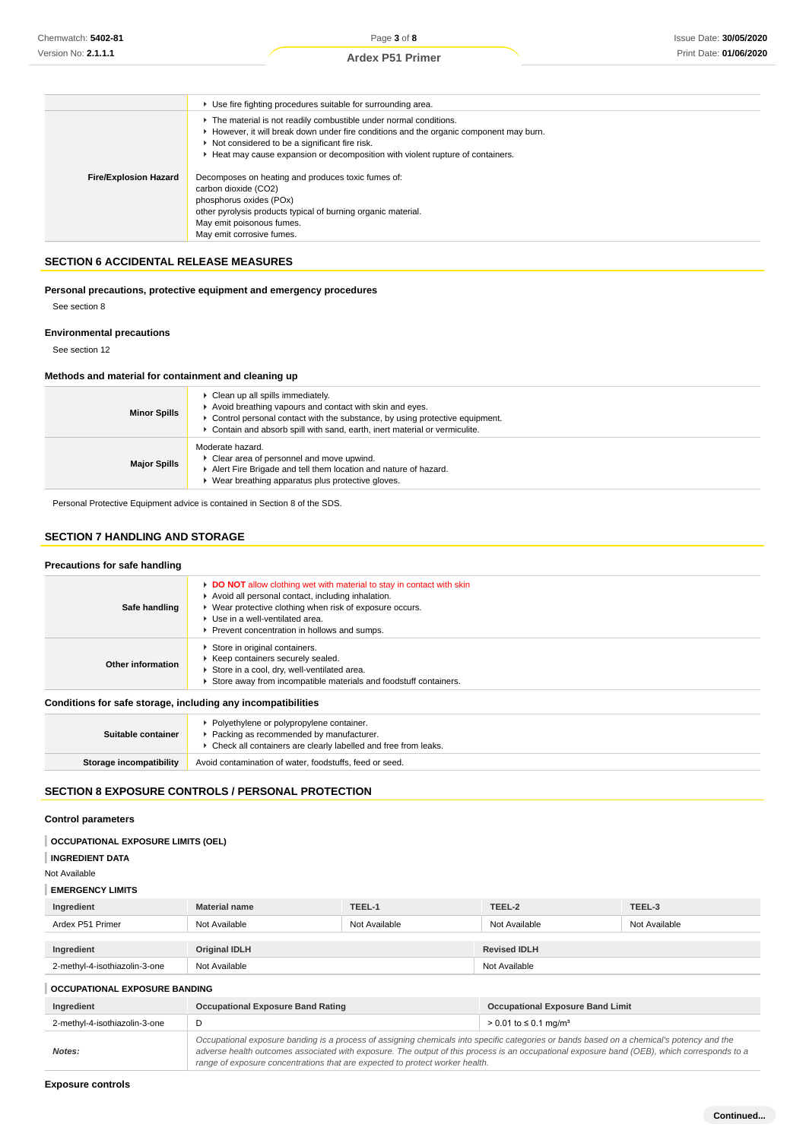|                              | • Use fire fighting procedures suitable for surrounding area.                                                                                                                                                                                                                                   |
|------------------------------|-------------------------------------------------------------------------------------------------------------------------------------------------------------------------------------------------------------------------------------------------------------------------------------------------|
|                              | The material is not readily combustible under normal conditions.<br>► However, it will break down under fire conditions and the organic component may burn.<br>Not considered to be a significant fire risk.<br>► Heat may cause expansion or decomposition with violent rupture of containers. |
| <b>Fire/Explosion Hazard</b> | Decomposes on heating and produces toxic fumes of:<br>carbon dioxide (CO2)<br>phosphorus oxides (POx)<br>other pyrolysis products typical of burning organic material.<br>May emit poisonous fumes.<br>May emit corrosive fumes.                                                                |

#### **SECTION 6 ACCIDENTAL RELEASE MEASURES**

# **Personal precautions, protective equipment and emergency procedures**

See section 8

#### **Environmental precautions**

See section 12

# **Methods and material for containment and cleaning up**

| <b>Minor Spills</b> | • Clean up all spills immediately.<br>Avoid breathing vapours and contact with skin and eyes.<br>► Control personal contact with the substance, by using protective equipment.<br>Contain and absorb spill with sand, earth, inert material or vermiculite. |
|---------------------|-------------------------------------------------------------------------------------------------------------------------------------------------------------------------------------------------------------------------------------------------------------|
| <b>Major Spills</b> | Moderate hazard.<br>• Clear area of personnel and move upwind.<br>Alert Fire Brigade and tell them location and nature of hazard.<br>Wear breathing apparatus plus protective gloves.                                                                       |

Personal Protective Equipment advice is contained in Section 8 of the SDS.

# **SECTION 7 HANDLING AND STORAGE**

#### **Precautions for safe handling Safe handling DO NOT** allow clothing wet with material to stay in contact with skin Avoid all personal contact, including inhalation. Wear protective clothing when risk of exposure occurs. Use in a well-ventilated area. Prevent concentration in hollows and sumps. **Other information** Store in original containers. Keep containers securely sealed. Store in a cool, dry, well-ventilated area. Store away from incompatible materials and foodstuff containers. **Conditions for safe storage, including any incompatibilities**

| Suitable container      | ▶ Polyethylene or polypropylene container.<br>Packing as recommended by manufacturer.<br>▶ Check all containers are clearly labelled and free from leaks. |
|-------------------------|-----------------------------------------------------------------------------------------------------------------------------------------------------------|
| Storage incompatibility | Avoid contamination of water, foodstuffs, feed or seed.                                                                                                   |
|                         |                                                                                                                                                           |

# **SECTION 8 EXPOSURE CONTROLS / PERSONAL PROTECTION**

# **Control parameters**

# **OCCUPATIONAL EXPOSURE LIMITS (OEL)**

**INGREDIENT DATA**

Not Available

#### **EMERGENCY LIMITS**

| Ingredient                    | <b>Material name</b> | TEEL-1        | TEEL-2              | TEEL-3        |
|-------------------------------|----------------------|---------------|---------------------|---------------|
| Ardex P51 Primer              | Not Available        | Not Available | Not Available       | Not Available |
|                               |                      |               |                     |               |
| Ingredient                    | <b>Original IDLH</b> |               | <b>Revised IDLH</b> |               |
| 2-methyl-4-isothiazolin-3-one | Not Available        |               | Not Available       |               |

# **OCCUPATIONAL EXPOSURE BANDING**

| Ingredient                    | <b>Occupational Exposure Band Rating</b>                                                                                                                                                                                                                                                                                                                                 | <b>Occupational Exposure Band Limit</b>  |
|-------------------------------|--------------------------------------------------------------------------------------------------------------------------------------------------------------------------------------------------------------------------------------------------------------------------------------------------------------------------------------------------------------------------|------------------------------------------|
| 2-methyl-4-isothiazolin-3-one |                                                                                                                                                                                                                                                                                                                                                                          | $> 0.01$ to $\leq 0.1$ ma/m <sup>3</sup> |
| Notes:                        | Occupational exposure banding is a process of assigning chemicals into specific categories or bands based on a chemical's potency and the<br>adverse health outcomes associated with exposure. The output of this process is an occupational exposure band (OEB), which corresponds to a<br>range of exposure concentrations that are expected to protect worker health. |                                          |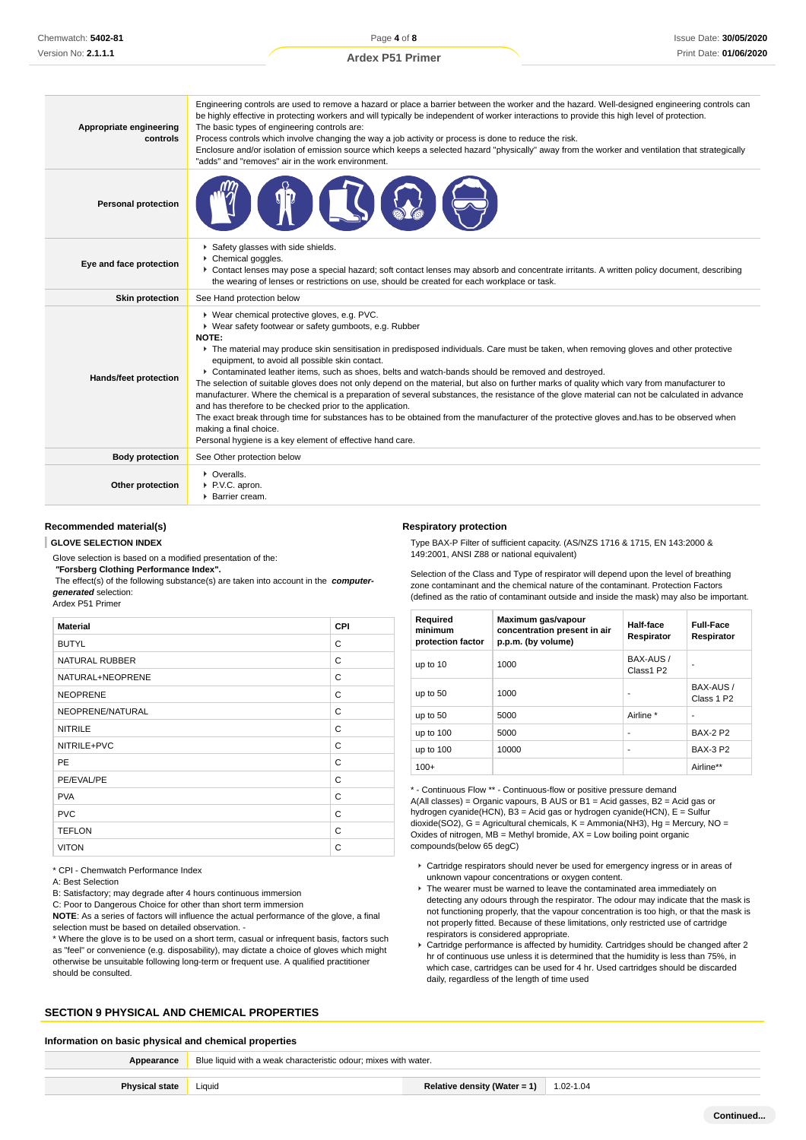#### **Appropriate engineering controls** Engineering controls are used to remove a hazard or place a barrier between the worker and the hazard. Well-designed engineering controls can be highly effective in protecting workers and will typically be independent of worker interactions to provide this high level of protection. The basic types of engineering controls are: Process controls which involve changing the way a job activity or process is done to reduce the risk. Enclosure and/or isolation of emission source which keeps a selected hazard "physically" away from the worker and ventilation that strategically "adds" and "removes" air in the work environment. **Personal protection Eye and face protection** Safety glasses with side shields. Chemical goggles. Contact lenses may pose a special hazard; soft contact lenses may absorb and concentrate irritants. A written policy document, describing the wearing of lenses or restrictions on use, should be created for each workplace or task. **Skin protection** See Hand protection below **Hands/feet protection** Wear chemical protective gloves, e.g. PVC. Wear safety footwear or safety gumboots, e.g. Rubber **NOTE:** ▶ The material may produce skin sensitisation in predisposed individuals. Care must be taken, when removing gloves and other protective equipment, to avoid all possible skin contact. Contaminated leather items, such as shoes, belts and watch-bands should be removed and destroyed. The selection of suitable gloves does not only depend on the material, but also on further marks of quality which vary from manufacturer to manufacturer. Where the chemical is a preparation of several substances, the resistance of the glove material can not be calculated in advance and has therefore to be checked prior to the application. The exact break through time for substances has to be obtained from the manufacturer of the protective gloves and.has to be observed when making a final choice. Personal hygiene is a key element of effective hand care. **Body protection** See Other protection below **Other protection C**veralls  $\blacktriangleright$  PVC. apron. **Barrier cream.**

# **Recommended material(s)**

#### **GLOVE SELECTION INDEX**

Glove selection is based on a modified presentation of the:

 **"Forsberg Clothing Performance Index".**

 The effect(s) of the following substance(s) are taken into account in the **computergenerated** selection:

| Ardex P51 Primer |  |
|------------------|--|
|------------------|--|

| <b>Material</b>       | CPI |
|-----------------------|-----|
| <b>BUTYL</b>          | С   |
| <b>NATURAL RUBBER</b> | C   |
| NATURAL+NEOPRENE      | C   |
| <b>NEOPRENE</b>       | C   |
| NEOPRENE/NATURAL      | C   |
| <b>NITRILE</b>        | C   |
| NITRILE+PVC           | C   |
| <b>PE</b>             | C   |
| PE/EVAL/PE            | C   |
| <b>PVA</b>            | C   |
| <b>PVC</b>            | C   |
| <b>TEFLON</b>         | C   |
| <b>VITON</b>          | C   |

\* CPI - Chemwatch Performance Index

A: Best Selection

B: Satisfactory; may degrade after 4 hours continuous immersion

C: Poor to Dangerous Choice for other than short term immersion

**NOTE**: As a series of factors will influence the actual performance of the glove, a final selection must be based on detailed observation. -

\* Where the glove is to be used on a short term, casual or infrequent basis, factors such as "feel" or convenience (e.g. disposability), may dictate a choice of gloves which might otherwise be unsuitable following long-term or frequent use. A qualified practitioner should be consulted.

# **SECTION 9 PHYSICAL AND CHEMICAL PROPERTIES**

### **Information on basic physical and chemical properties**

**Appearance** Blue liquid with a weak characteristic odour; mixes with water.

| 'hvsical state | Liauid |
|----------------|--------|
|                |        |

# **Respiratory protection**

Type BAX-P Filter of sufficient capacity. (AS/NZS 1716 & 1715, EN 143:2000 & 149:2001, ANSI Z88 or national equivalent)

Selection of the Class and Type of respirator will depend upon the level of breathing zone contaminant and the chemical nature of the contaminant. Protection Factors (defined as the ratio of contaminant outside and inside the mask) may also be important.

| Required<br>minimum<br>protection factor | Maximum gas/vapour<br>concentration present in air<br>p.p.m. (by volume) | Half-face<br>Respirator | <b>Full-Face</b><br>Respirator      |
|------------------------------------------|--------------------------------------------------------------------------|-------------------------|-------------------------------------|
| up to 10                                 | 1000                                                                     | BAX-AUS /<br>Class1 P2  | ۰                                   |
| up to $50$                               | 1000                                                                     | ۰                       | BAX-AUS /<br>Class 1 P <sub>2</sub> |
| up to $50$                               | 5000                                                                     | Airline *               | ۰                                   |
| up to 100                                | 5000                                                                     | ۰                       | <b>BAX-2 P2</b>                     |
| up to 100                                | 10000                                                                    | ٠                       | <b>BAX-3 P2</b>                     |
| $100+$                                   |                                                                          |                         | Airline**                           |

\* - Continuous Flow \*\* - Continuous-flow or positive pressure demand A(All classes) = Organic vapours, B AUS or B1 = Acid gasses, B2 = Acid gas or hydrogen cyanide(HCN), B3 = Acid gas or hydrogen cyanide(HCN), E = Sulfur dioxide(SO2), G = Agricultural chemicals, K = Ammonia(NH3), Hg = Mercury, NO = Oxides of nitrogen, MB = Methyl bromide, AX = Low boiling point organic compounds(below 65 degC)

- Cartridge respirators should never be used for emergency ingress or in areas of unknown vapour concentrations or oxygen content.
- ▶ The wearer must be warned to leave the contaminated area immediately on detecting any odours through the respirator. The odour may indicate that the mask is not functioning properly, that the vapour concentration is too high, or that the mask is not properly fitted. Because of these limitations, only restricted use of cartridge respirators is considered appropriate.
- Cartridge performance is affected by humidity. Cartridges should be changed after 2 hr of continuous use unless it is determined that the humidity is less than 75%, in which case, cartridges can be used for 4 hr. Used cartridges should be discarded daily, regardless of the length of time used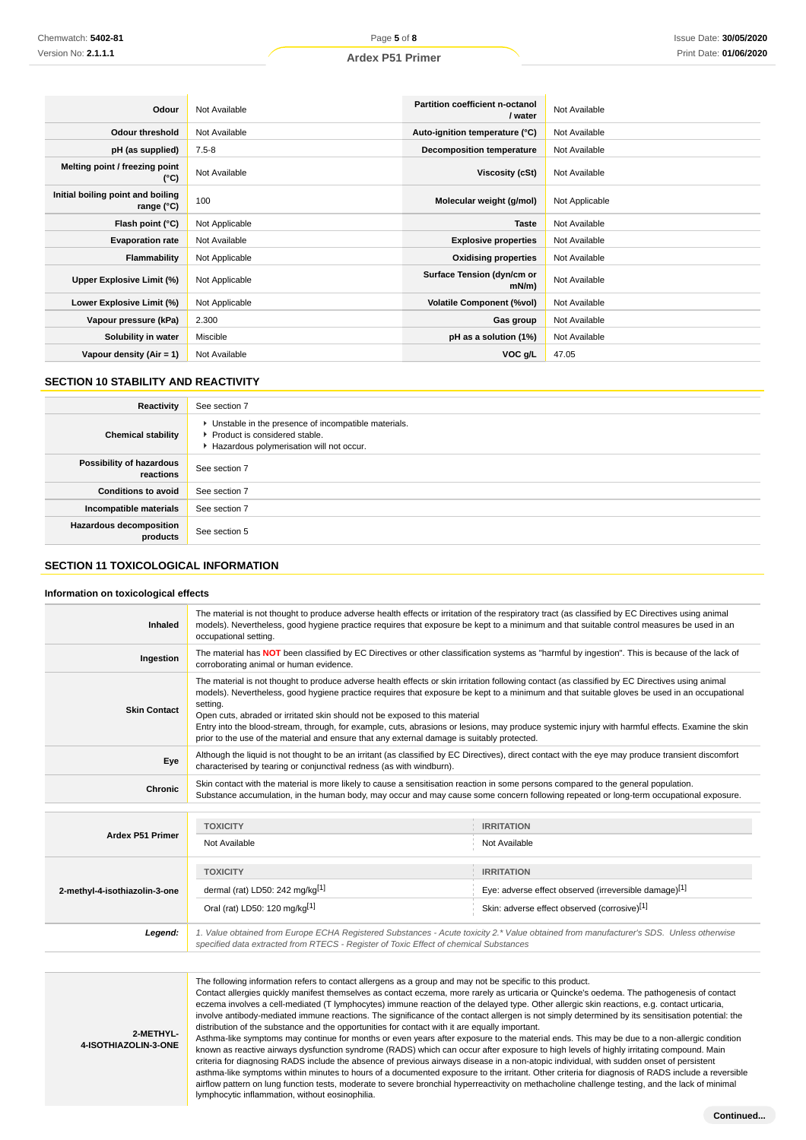| Odour                                                    | Not Available  | Partition coefficient n-octanol<br>/ water | Not Available  |
|----------------------------------------------------------|----------------|--------------------------------------------|----------------|
| <b>Odour threshold</b>                                   | Not Available  | Auto-ignition temperature (°C)             | Not Available  |
| pH (as supplied)                                         | $7.5 - 8$      | <b>Decomposition temperature</b>           | Not Available  |
| Melting point / freezing point<br>(°C)                   | Not Available  | Viscosity (cSt)                            | Not Available  |
| Initial boiling point and boiling<br>range $(^{\circ}C)$ | 100            | Molecular weight (g/mol)                   | Not Applicable |
| Flash point (°C)                                         | Not Applicable | <b>Taste</b>                               | Not Available  |
| <b>Evaporation rate</b>                                  | Not Available  | <b>Explosive properties</b>                | Not Available  |
| Flammability                                             | Not Applicable | <b>Oxidising properties</b>                | Not Available  |
| Upper Explosive Limit (%)                                | Not Applicable | Surface Tension (dyn/cm or<br>$mN/m$ )     | Not Available  |
| Lower Explosive Limit (%)                                | Not Applicable | <b>Volatile Component (%vol)</b>           | Not Available  |
| Vapour pressure (kPa)                                    | 2.300          | Gas group                                  | Not Available  |
| Solubility in water                                      | Miscible       | pH as a solution (1%)                      | Not Available  |
| Vapour density $(Air = 1)$                               | Not Available  | VOC <sub>g</sub> /L                        | 47.05          |

# **SECTION 10 STABILITY AND REACTIVITY**

| Reactivity                                 | See section 7                                                                                                                        |
|--------------------------------------------|--------------------------------------------------------------------------------------------------------------------------------------|
| <b>Chemical stability</b>                  | • Unstable in the presence of incompatible materials.<br>▶ Product is considered stable.<br>Hazardous polymerisation will not occur. |
| Possibility of hazardous<br>reactions      | See section 7                                                                                                                        |
| <b>Conditions to avoid</b>                 | See section 7                                                                                                                        |
| Incompatible materials                     | See section 7                                                                                                                        |
| <b>Hazardous decomposition</b><br>products | See section 5                                                                                                                        |

# **SECTION 11 TOXICOLOGICAL INFORMATION**

#### **Information on toxicological effects**

| Inhaled                       | The material is not thought to produce adverse health effects or irritation of the respiratory tract (as classified by EC Directives using animal<br>models). Nevertheless, good hygiene practice requires that exposure be kept to a minimum and that suitable control measures be used in an<br>occupational setting.                                                                                                                                                                                                                                                                                                                        |                                                       |  |  |
|-------------------------------|------------------------------------------------------------------------------------------------------------------------------------------------------------------------------------------------------------------------------------------------------------------------------------------------------------------------------------------------------------------------------------------------------------------------------------------------------------------------------------------------------------------------------------------------------------------------------------------------------------------------------------------------|-------------------------------------------------------|--|--|
| Ingestion                     | The material has NOT been classified by EC Directives or other classification systems as "harmful by ingestion". This is because of the lack of<br>corroborating animal or human evidence.                                                                                                                                                                                                                                                                                                                                                                                                                                                     |                                                       |  |  |
| <b>Skin Contact</b>           | The material is not thought to produce adverse health effects or skin irritation following contact (as classified by EC Directives using animal<br>models). Nevertheless, good hygiene practice requires that exposure be kept to a minimum and that suitable gloves be used in an occupational<br>setting.<br>Open cuts, abraded or irritated skin should not be exposed to this material<br>Entry into the blood-stream, through, for example, cuts, abrasions or lesions, may produce systemic injury with harmful effects. Examine the skin<br>prior to the use of the material and ensure that any external damage is suitably protected. |                                                       |  |  |
| Eye                           | Although the liquid is not thought to be an irritant (as classified by EC Directives), direct contact with the eye may produce transient discomfort<br>characterised by tearing or conjunctival redness (as with windburn).                                                                                                                                                                                                                                                                                                                                                                                                                    |                                                       |  |  |
| <b>Chronic</b>                | Skin contact with the material is more likely to cause a sensitisation reaction in some persons compared to the general population.<br>Substance accumulation, in the human body, may occur and may cause some concern following repeated or long-term occupational exposure.                                                                                                                                                                                                                                                                                                                                                                  |                                                       |  |  |
|                               |                                                                                                                                                                                                                                                                                                                                                                                                                                                                                                                                                                                                                                                |                                                       |  |  |
| <b>Ardex P51 Primer</b>       | <b>TOXICITY</b>                                                                                                                                                                                                                                                                                                                                                                                                                                                                                                                                                                                                                                | <b>IRRITATION</b>                                     |  |  |
|                               | Not Available                                                                                                                                                                                                                                                                                                                                                                                                                                                                                                                                                                                                                                  | Not Available                                         |  |  |
|                               | <b>TOXICITY</b>                                                                                                                                                                                                                                                                                                                                                                                                                                                                                                                                                                                                                                | <b>IRRITATION</b>                                     |  |  |
| 2-methyl-4-isothiazolin-3-one | dermal (rat) LD50: 242 mg/kg[1]                                                                                                                                                                                                                                                                                                                                                                                                                                                                                                                                                                                                                | Eye: adverse effect observed (irreversible damage)[1] |  |  |
|                               | Oral (rat) LD50: 120 mg/kg[1]                                                                                                                                                                                                                                                                                                                                                                                                                                                                                                                                                                                                                  | Skin: adverse effect observed (corrosive)[1]          |  |  |
| Legend:                       | 1. Value obtained from Europe ECHA Registered Substances - Acute toxicity 2.* Value obtained from manufacturer's SDS. Unless otherwise<br>specified data extracted from RTECS - Register of Toxic Effect of chemical Substances                                                                                                                                                                                                                                                                                                                                                                                                                |                                                       |  |  |

The following information refers to contact allergens as a group and may not be specific to this product. Contact allergies quickly manifest themselves as contact eczema, more rarely as urticaria or Quincke's oedema. The pathogenesis of contact eczema involves a cell-mediated (T lymphocytes) immune reaction of the delayed type. Other allergic skin reactions, e.g. contact urticaria, involve antibody-mediated immune reactions. The significance of the contact allergen is not simply determined by its sensitisation potential: the distribution of the substance and the opportunities for contact with it are equally important.

**2-METHYL-4-ISOTHIAZOLIN-3-ONE**

Asthma-like symptoms may continue for months or even years after exposure to the material ends. This may be due to a non-allergic condition known as reactive airways dysfunction syndrome (RADS) which can occur after exposure to high levels of highly irritating compound. Main criteria for diagnosing RADS include the absence of previous airways disease in a non-atopic individual, with sudden onset of persistent asthma-like symptoms within minutes to hours of a documented exposure to the irritant. Other criteria for diagnosis of RADS include a reversible airflow pattern on lung function tests, moderate to severe bronchial hyperreactivity on methacholine challenge testing, and the lack of minimal lymphocytic inflammation, without eosinophilia.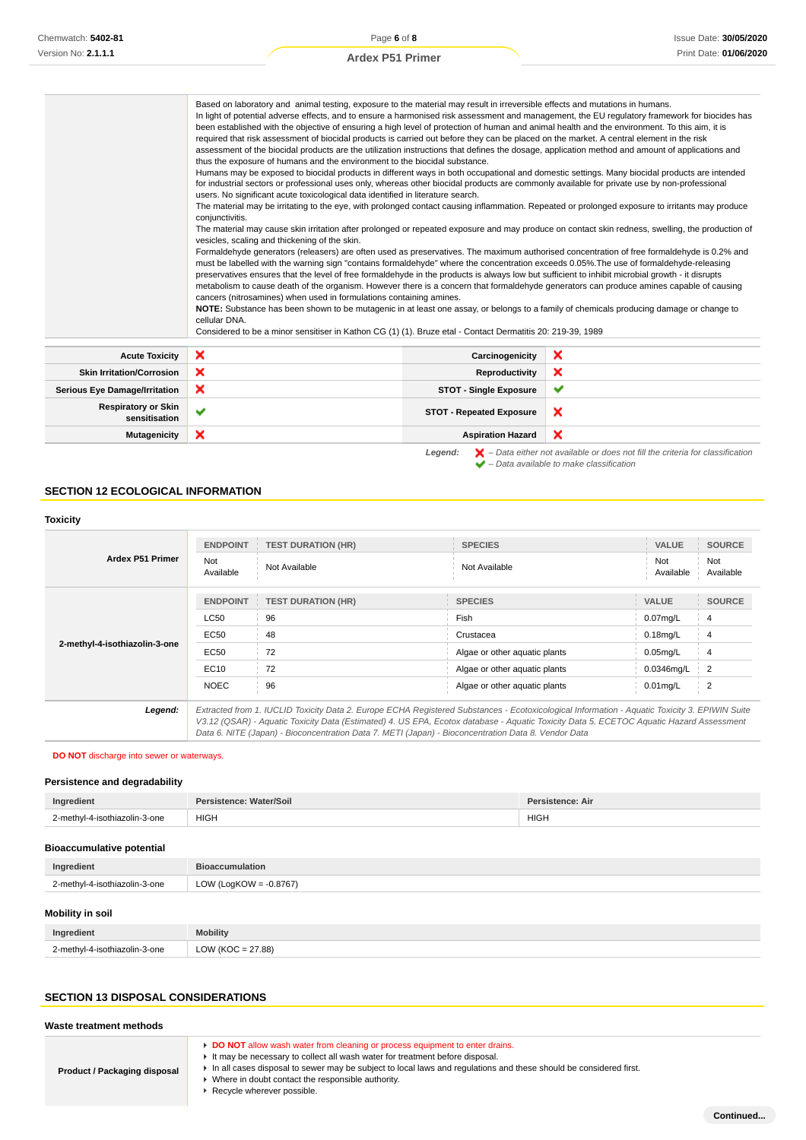|                                             | Based on laboratory and animal testing, exposure to the material may result in irreversible effects and mutations in humans.<br>been established with the objective of ensuring a high level of protection of human and animal health and the environment. To this aim, it is<br>required that risk assessment of biocidal products is carried out before they can be placed on the market. A central element in the risk<br>assessment of the biocidal products are the utilization instructions that defines the dosage, application method and amount of applications and<br>thus the exposure of humans and the environment to the biocidal substance.<br>Humans may be exposed to biocidal products in different ways in both occupational and domestic settings. Many biocidal products are intended<br>for industrial sectors or professional uses only, whereas other biocidal products are commonly available for private use by non-professional<br>users. No significant acute toxicological data identified in literature search.<br>The material may be irritating to the eye, with prolonged contact causing inflammation. Repeated or prolonged exposure to irritants may produce<br>conjunctivitis.<br>vesicles, scaling and thickening of the skin.<br>Formaldehyde generators (releasers) are often used as preservatives. The maximum authorised concentration of free formaldehyde is 0.2% and<br>must be labelled with the warning sign "contains formaldehyde" where the concentration exceeds 0.05%. The use of formaldehyde-releasing<br>preservatives ensures that the level of free formaldehyde in the products is always low but sufficient to inhibit microbial growth - it disrupts<br>metabolism to cause death of the organism. However there is a concern that formaldehyde generators can produce amines capable of causing<br>cancers (nitrosamines) when used in formulations containing amines.<br>NOTE: Substance has been shown to be mutagenic in at least one assay, or belongs to a family of chemicals producing damage or change to<br>cellular DNA. |                                 | In light of potential adverse effects, and to ensure a harmonised risk assessment and management, the EU regulatory framework for biocides has<br>The material may cause skin irritation after prolonged or repeated exposure and may produce on contact skin redness, swelling, the production of |
|---------------------------------------------|--------------------------------------------------------------------------------------------------------------------------------------------------------------------------------------------------------------------------------------------------------------------------------------------------------------------------------------------------------------------------------------------------------------------------------------------------------------------------------------------------------------------------------------------------------------------------------------------------------------------------------------------------------------------------------------------------------------------------------------------------------------------------------------------------------------------------------------------------------------------------------------------------------------------------------------------------------------------------------------------------------------------------------------------------------------------------------------------------------------------------------------------------------------------------------------------------------------------------------------------------------------------------------------------------------------------------------------------------------------------------------------------------------------------------------------------------------------------------------------------------------------------------------------------------------------------------------------------------------------------------------------------------------------------------------------------------------------------------------------------------------------------------------------------------------------------------------------------------------------------------------------------------------------------------------------------------------------------------------------------------------------------------------------------------------------------------------------------------|---------------------------------|----------------------------------------------------------------------------------------------------------------------------------------------------------------------------------------------------------------------------------------------------------------------------------------------------|
|                                             | Considered to be a minor sensitiser in Kathon CG (1) (1). Bruze etal - Contact Dermatitis 20: 219-39, 1989                                                                                                                                                                                                                                                                                                                                                                                                                                                                                                                                                                                                                                                                                                                                                                                                                                                                                                                                                                                                                                                                                                                                                                                                                                                                                                                                                                                                                                                                                                                                                                                                                                                                                                                                                                                                                                                                                                                                                                                       |                                 |                                                                                                                                                                                                                                                                                                    |
| <b>Acute Toxicity</b>                       | ×                                                                                                                                                                                                                                                                                                                                                                                                                                                                                                                                                                                                                                                                                                                                                                                                                                                                                                                                                                                                                                                                                                                                                                                                                                                                                                                                                                                                                                                                                                                                                                                                                                                                                                                                                                                                                                                                                                                                                                                                                                                                                                | Carcinogenicity                 | ×                                                                                                                                                                                                                                                                                                  |
| <b>Skin Irritation/Corrosion</b>            | ×                                                                                                                                                                                                                                                                                                                                                                                                                                                                                                                                                                                                                                                                                                                                                                                                                                                                                                                                                                                                                                                                                                                                                                                                                                                                                                                                                                                                                                                                                                                                                                                                                                                                                                                                                                                                                                                                                                                                                                                                                                                                                                | Reproductivity                  | ×                                                                                                                                                                                                                                                                                                  |
| <b>Serious Eye Damage/Irritation</b>        | ×                                                                                                                                                                                                                                                                                                                                                                                                                                                                                                                                                                                                                                                                                                                                                                                                                                                                                                                                                                                                                                                                                                                                                                                                                                                                                                                                                                                                                                                                                                                                                                                                                                                                                                                                                                                                                                                                                                                                                                                                                                                                                                | <b>STOT - Single Exposure</b>   | ✔                                                                                                                                                                                                                                                                                                  |
| <b>Respiratory or Skin</b><br>sensitisation | $\checkmark$                                                                                                                                                                                                                                                                                                                                                                                                                                                                                                                                                                                                                                                                                                                                                                                                                                                                                                                                                                                                                                                                                                                                                                                                                                                                                                                                                                                                                                                                                                                                                                                                                                                                                                                                                                                                                                                                                                                                                                                                                                                                                     | <b>STOT - Repeated Exposure</b> | ×                                                                                                                                                                                                                                                                                                  |
| <b>Mutagenicity</b>                         | ×                                                                                                                                                                                                                                                                                                                                                                                                                                                                                                                                                                                                                                                                                                                                                                                                                                                                                                                                                                                                                                                                                                                                                                                                                                                                                                                                                                                                                                                                                                                                                                                                                                                                                                                                                                                                                                                                                                                                                                                                                                                                                                | <b>Aspiration Hazard</b>        | ×                                                                                                                                                                                                                                                                                                  |
|                                             |                                                                                                                                                                                                                                                                                                                                                                                                                                                                                                                                                                                                                                                                                                                                                                                                                                                                                                                                                                                                                                                                                                                                                                                                                                                                                                                                                                                                                                                                                                                                                                                                                                                                                                                                                                                                                                                                                                                                                                                                                                                                                                  | Legend:                         | $\blacktriangleright$ - Data either not available or does not fill the criteria for classification<br>$\blacktriangleright$ - Data available to make classification                                                                                                                                |

# **SECTION 12 ECOLOGICAL INFORMATION**

÷.

# **Toxicity**

| <b>Ardex P51 Primer</b>       | <b>ENDPOINT</b><br>Not<br>Available                                                                                                                                                                                                                                                                                                                                                             | <b>TEST DURATION (HR)</b><br>Not Available | <b>SPECIES</b><br>Not Available | <b>VALUE</b><br>Not<br>Available | <b>SOURCE</b><br>Not<br>Available |
|-------------------------------|-------------------------------------------------------------------------------------------------------------------------------------------------------------------------------------------------------------------------------------------------------------------------------------------------------------------------------------------------------------------------------------------------|--------------------------------------------|---------------------------------|----------------------------------|-----------------------------------|
| 2-methyl-4-isothiazolin-3-one | <b>ENDPOINT</b>                                                                                                                                                                                                                                                                                                                                                                                 | <b>TEST DURATION (HR)</b>                  | <b>SPECIES</b>                  | <b>VALUE</b>                     | <b>SOURCE</b>                     |
|                               | <b>LC50</b>                                                                                                                                                                                                                                                                                                                                                                                     | 96                                         | Fish                            | $0.07$ mg/L                      | 4                                 |
|                               | EC50                                                                                                                                                                                                                                                                                                                                                                                            | 48                                         | Crustacea                       | $0.18$ mg/L                      | 4                                 |
|                               | EC50                                                                                                                                                                                                                                                                                                                                                                                            | 72                                         | Algae or other aquatic plants   | $0.05$ mg/L                      | 4                                 |
|                               | EC10                                                                                                                                                                                                                                                                                                                                                                                            | 72                                         | Algae or other aquatic plants   | 0.0346mg/L                       | 2                                 |
|                               | <b>NOEC</b>                                                                                                                                                                                                                                                                                                                                                                                     | 96                                         | Algae or other aquatic plants   | $0.01$ mg/L                      | $\overline{2}$                    |
| Legend:                       | Extracted from 1. IUCLID Toxicity Data 2. Europe ECHA Registered Substances - Ecotoxicological Information - Aquatic Toxicity 3. EPIWIN Suite<br>V3.12 (QSAR) - Aquatic Toxicity Data (Estimated) 4. US EPA, Ecotox database - Aquatic Toxicity Data 5. ECETOC Aquatic Hazard Assessment<br>Data 6. NITE (Japan) - Bioconcentration Data 7. METI (Japan) - Bioconcentration Data 8. Vendor Data |                                            |                                 |                                  |                                   |

#### **DO NOT** discharge into sewer or waterways.

#### **Persistence and degradability**

| Ingredien                                     | ומצוי       | Dor.<br>eietanca:<br>'stence: Air |
|-----------------------------------------------|-------------|-----------------------------------|
| mm <sub>th</sub><br>3-one<br>enthiaznlin<br>. | <b>HIGH</b> | <b>HIGH</b>                       |

# **Bioaccumulative potential**

| Ingredient                    | <b>Bioaccumulation</b>    |
|-------------------------------|---------------------------|
| 2-methyl-4-isothiazolin-3-one | LOW (LogKOW = $-0.8767$ ) |
|                               |                           |

# **Mobility in soil**

| Ingredient                    | <b>Mobility</b>          |
|-------------------------------|--------------------------|
| 2-methyl-4-isothiazolin-3-one | LOW (KOC = 27.88)<br>∟∪w |

# **SECTION 13 DISPOSAL CONSIDERATIONS**

#### **Waste treatment methods Product / Packaging disposal DO NOT** allow wash water from cleaning or process equipment to enter drains. It may be necessary to collect all wash water for treatment before disposal. In all cases disposal to sewer may be subject to local laws and regulations and these should be considered first. Where in doubt contact the responsible authority.

Recycle wherever possible.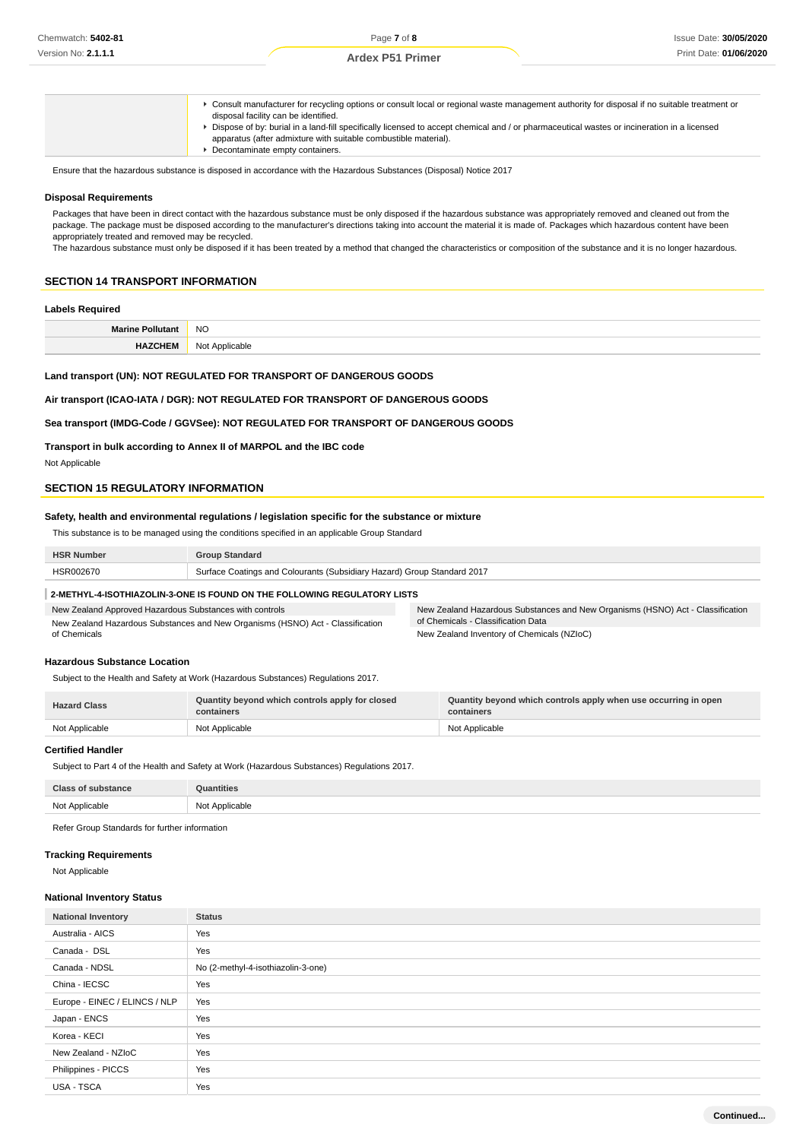Consult manufacturer for recycling options or consult local or regional waste management authority for disposal if no suitable treatment or disposal facility can be identified.

- Dispose of by: burial in a land-fill specifically licensed to accept chemical and / or pharmaceutical wastes or incineration in a licensed
	- apparatus (after admixture with suitable combustible material).
- **Decontaminate empty containers.**

Ensure that the hazardous substance is disposed in accordance with the Hazardous Substances (Disposal) Notice 2017

#### **Disposal Requirements**

Packages that have been in direct contact with the hazardous substance must be only disposed if the hazardous substance was appropriately removed and cleaned out from the package. The package must be disposed according to the manufacturer's directions taking into account the material it is made of. Packages which hazardous content have been appropriately treated and removed may be recycled.

The hazardous substance must only be disposed if it has been treated by a method that changed the characteristics or composition of the substance and it is no longer hazardous.

# **SECTION 14 TRANSPORT INFORMATION**

#### **Labels Required**

| M- | <b>NO</b> |
|----|-----------|
|    | $\sim$    |
|    |           |

# **Land transport (UN): NOT REGULATED FOR TRANSPORT OF DANGEROUS GOODS**

**Air transport (ICAO-IATA / DGR): NOT REGULATED FOR TRANSPORT OF DANGEROUS GOODS**

# **Sea transport (IMDG-Code / GGVSee): NOT REGULATED FOR TRANSPORT OF DANGEROUS GOODS**

#### **Transport in bulk according to Annex II of MARPOL and the IBC code**

Not Applicable

### **SECTION 15 REGULATORY INFORMATION**

#### **Safety, health and environmental regulations / legislation specific for the substance or mixture**

This substance is to be managed using the conditions specified in an applicable Group Standard

| <b>HSR Number</b> | <b>Group Standard</b>                                                   |
|-------------------|-------------------------------------------------------------------------|
| HSR002670         | Surface Coatings and Colourants (Subsidiary Hazard) Group Standard 2017 |
|                   |                                                                         |

#### **2-METHYL-4-ISOTHIAZOLIN-3-ONE IS FOUND ON THE FOLLOWING REGULATORY LISTS**

| New Zealand Approved Hazardous Substances with controls                        | New Zealand Hazardous Substances and New Organisms (HSNO) Act - Classification |
|--------------------------------------------------------------------------------|--------------------------------------------------------------------------------|
| New Zealand Hazardous Substances and New Organisms (HSNO) Act - Classification | of Chemicals - Classification Data                                             |
| of Chemicals                                                                   | New Zealand Inventory of Chemicals (NZIoC)                                     |

# **Hazardous Substance Location**

Subject to the Health and Safety at Work (Hazardous Substances) Regulations 2017.

| <b>Hazard Class</b> | Quantity beyond which controls apply for closed<br>containers | Quantity beyond which controls apply when use occurring in open<br>containers |
|---------------------|---------------------------------------------------------------|-------------------------------------------------------------------------------|
| Not Applicable      | Not Applicable                                                | Not Applicable                                                                |

### **Certified Handler**

Subject to Part 4 of the Health and Safety at Work (Hazardous Substances) Regulations 2017.

| Class OF<br>$\rightarrow$ cuber-<br>ance                | puantities                           |
|---------------------------------------------------------|--------------------------------------|
| Not Annlicable<br>πυαυιτ<br>$\sim$<br>delegance and the | Not Annlicable<br>$\sim$<br>$\cdots$ |

Refer Group Standards for further information

#### **Tracking Requirements**

Not Applicable

#### **National Inventory Status**

| <b>National Inventory</b>     | <b>Status</b>                      |
|-------------------------------|------------------------------------|
| Australia - AICS              | Yes                                |
| Canada - DSL                  | Yes                                |
| Canada - NDSL                 | No (2-methyl-4-isothiazolin-3-one) |
| China - IECSC                 | Yes                                |
| Europe - EINEC / ELINCS / NLP | Yes                                |
| Japan - ENCS                  | Yes                                |
| Korea - KECI                  | Yes                                |
| New Zealand - NZIoC           | Yes                                |
| Philippines - PICCS           | Yes                                |
| <b>USA - TSCA</b>             | Yes                                |